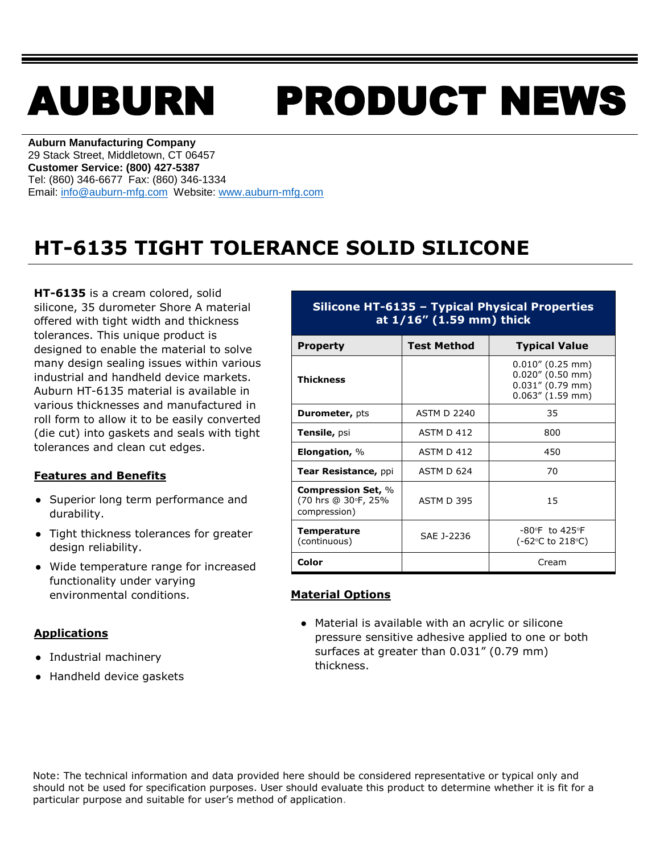# AUBURN PRODUCT NEWS

**Auburn Manufacturing Company** 29 Stack Street, Middletown, CT 06457 **Customer Service: (800) 427-5387** Tel: (860) 346-6677 Fax: (860) 346-1334 Email: [info@auburn-mfg.com](mailto:info@auburn-mfg.com) Website: [www.auburn-mfg.com](http://www.auburn-mfg.com/)

## **HT-6135 TIGHT TOLERANCE SOLID SILICONE**

**HT-6135** is a cream colored, solid silicone, 35 durometer Shore A material offered with tight width and thickness tolerances. This unique product is designed to enable the material to solve many design sealing issues within various industrial and handheld device markets. Auburn HT-6135 material is available in various thicknesses and manufactured in roll form to allow it to be easily converted (die cut) into gaskets and seals with tight tolerances and clean cut edges.

#### **Features and Benefits**

- **●** Superior long term performance and durability.
- **●** Tight thickness tolerances for greater design reliability.
- **●** Wide temperature range for increased functionality under varying environmental conditions.

#### **Applications**

- **●** Industrial machinery
- **●** Handheld device gaskets

#### **Silicone HT-6135 – Typical Physical Properties at 1/16" (1.59 mm) thick**

| <b>Property</b>                                                  | <b>Test Method</b> | <b>Typical Value</b>                                                                     |  |
|------------------------------------------------------------------|--------------------|------------------------------------------------------------------------------------------|--|
| <b>Thickness</b>                                                 |                    | $0.010''$ (0.25 mm)<br>$0.020''$ (0.50 mm)<br>$0.031''$ (0.79 mm)<br>$0.063''$ (1.59 mm) |  |
| <b>Durometer, pts</b>                                            | <b>ASTM D 2240</b> | 35                                                                                       |  |
| Tensile, psi                                                     | ASTM D 412         | 800                                                                                      |  |
| Elongation, $\%$                                                 | ASTM D 412         | 450                                                                                      |  |
| Tear Resistance, ppi                                             | ASTM D 624         | 70                                                                                       |  |
| <b>Compression Set, %</b><br>(70 hrs @ 30°F, 25%<br>compression) | <b>ASTM D 395</b>  | 15                                                                                       |  |
| <b>Temperature</b><br>(continuous)                               | SAE J-2236         | $-80$ °F to 425°F<br>(-62°C to 218°C)                                                    |  |
| Color                                                            |                    | Cream                                                                                    |  |

### **Material Options**

**●** Material is available with an acrylic or silicone pressure sensitive adhesive applied to one or both surfaces at greater than 0.031" (0.79 mm) thickness.

Note: The technical information and data provided here should be considered representative or typical only and should not be used for specification purposes. User should evaluate this product to determine whether it is fit for a particular purpose and suitable for user's method of application.